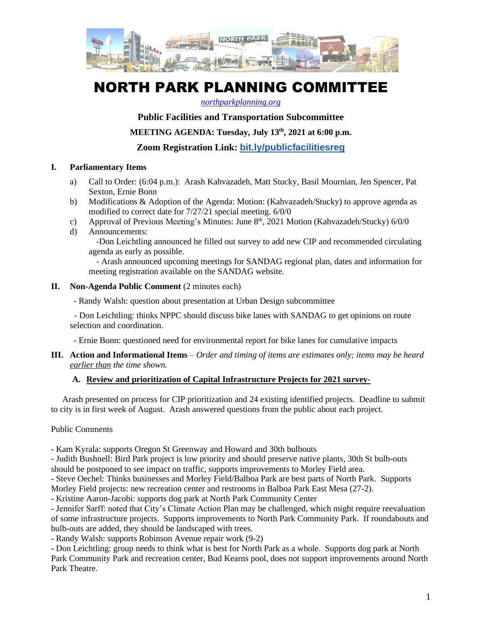

# NORTH PARK PLANNING COMMITTEE

#### *[northparkplanning.org](http://www.northparkplanning.org/)*

## **Public Facilities and Transportation Subcommittee**

**MEETING AGENDA: Tuesday, July 13th, 2021 at 6:00 p.m.**

**Zoom Registration Link: [bit.ly/publicfacilitiesreg](http://bit.ly/publicfacilitiesreg)**

#### **I. Parliamentary Items**

- a) Call to Order: (6:04 p.m.): Arash Kahvazadeh, Matt Stucky, Basil Mournian, Jen Spencer, Pat Sexton, Ernie Bonn
- b) Modifications & Adoption of the Agenda: Motion: (Kahvazadeh/Stucky) to approve agenda as modified to correct date for 7/27/21 special meeting. 6/0/0
- c) Approval of Previous Meeting's Minutes: June 8<sup>th</sup>, 2021 Motion (Kahvazadeh/Stucky) 6/0/0
- d) Announcements: -Don Leichtling announced he filled out survey to add new CIP and recommended circulating agenda as early as possible.

- Arash announced upcoming meetings for SANDAG regional plan, dates and information for meeting registration available on the SANDAG website.

#### **II. Non-Agenda Public Comment** (2 minutes each)

- Randy Walsh: question about presentation at Urban Design subcommittee

 - Don Leichtling: thinks NPPC should discuss bike lanes with SANDAG to get opinions on route selection and coordination.

- Ernie Bonn: questioned need for environmental report for bike lanes for cumulative impacts

#### **III. Action and Informational Items** – *Order and timing of items are estimates only; items may be heard earlier than the time shown.*

### **A. Review and prioritization of Capital Infrastructure Projects for 2021 survey-**

Arash presented on process for CIP prioritization and 24 existing identified projects. Deadline to submit to city is in first week of August. Arash answered questions from the public about each project.

### Public Comments

- Kam Kyrala: supports Oregon St Greenway and Howard and 30th bulbouts

- Judith Bushnell: Bird Park project is low priority and should preserve native plants, 30th St bulb-outs should be postponed to see impact on traffic, supports improvements to Morley Field area.

- Steve Oechel: Thinks businesses and Morley Field/Balboa Park are best parts of North Park. Supports

Morley Field projects: new recreation center and restrooms in Balboa Park East Mesa (27-2).

- Kristine Aaron-Jacobi: supports dog park at North Park Community Center

- Jennifer Sarff: noted that City's Climate Action Plan may be challenged, which might require reevaluation of some infrastructure projects. Supports improvements to North Park Community Park. If roundabouts and bulb-outs are added, they should be landscaped with trees.

- Randy Walsh: supports Robinson Avenue repair work (9-2)

- Don Leichtling: group needs to think what is best for North Park as a whole. Supports dog park at North Park Community Park and recreation center, Bud Kearns pool, does not support improvements around North Park Theatre.